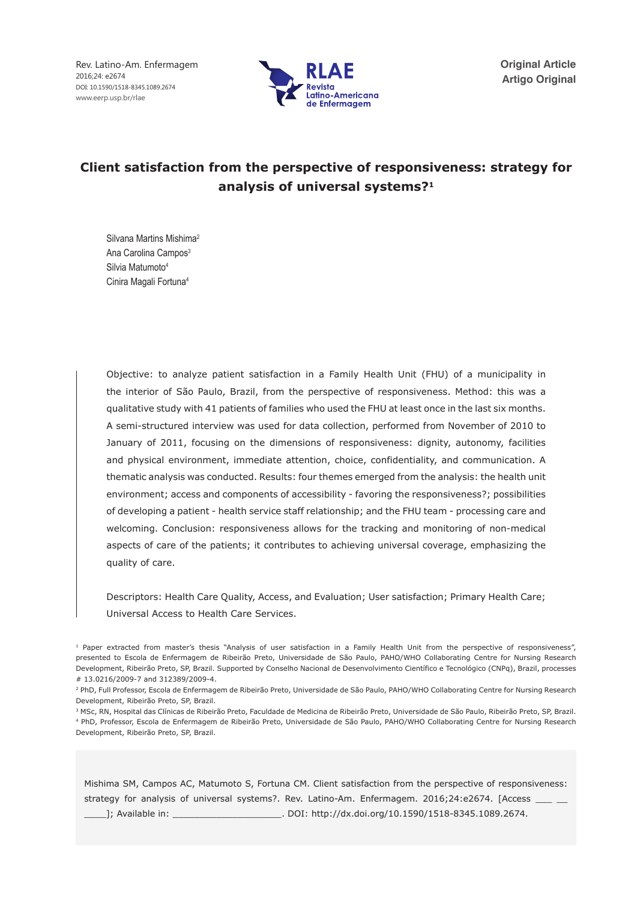Rev. Latino-Am. Enfermagem 2016;24: e2674 DOI: 10.1590/1518-8345.1089.2674 www.eerp.usp.br/rlae



**Original Article Artigo Original**

# **Client satisfaction from the perspective of responsiveness: strategy for analysis of universal systems?1**

Silvana Martins Mishima2 Ana Carolina Campos<sup>3</sup> Silvia Matumoto<sup>4</sup> Cinira Magali Fortuna4

Objective: to analyze patient satisfaction in a Family Health Unit (FHU) of a municipality in the interior of São Paulo, Brazil, from the perspective of responsiveness. Method: this was a qualitative study with 41 patients of families who used the FHU at least once in the last six months. A semi-structured interview was used for data collection, performed from November of 2010 to January of 2011, focusing on the dimensions of responsiveness: dignity, autonomy, facilities and physical environment, immediate attention, choice, confidentiality, and communication. A thematic analysis was conducted. Results: four themes emerged from the analysis: the health unit environment; access and components of accessibility - favoring the responsiveness?; possibilities of developing a patient - health service staff relationship; and the FHU team - processing care and welcoming. Conclusion: responsiveness allows for the tracking and monitoring of non-medical aspects of care of the patients; it contributes to achieving universal coverage, emphasizing the quality of care.

Descriptors: Health Care Quality, Access, and Evaluation; User satisfaction; Primary Health Care; Universal Access to Health Care Services.

Mishima SM, Campos AC, Matumoto S, Fortuna CM. Client satisfaction from the perspective of responsiveness: strategy for analysis of universal systems?. Rev. Latino-Am. Enfermagem. 2016;24:e2674. [Access \_ \_\_\_\_]; Available in: \_\_\_\_\_\_\_\_\_\_\_\_\_\_\_\_\_\_\_\_. DOI: http://dx.doi.org/10.1590/1518-8345.1089.2674.

<sup>&</sup>lt;sup>1</sup> Paper extracted from master's thesis "Analysis of user satisfaction in a Family Health Unit from the perspective of responsiveness", presented to Escola de Enfermagem de Ribeirão Preto, Universidade de São Paulo, PAHO/WHO Collaborating Centre for Nursing Research Development, Ribeirão Preto, SP, Brazil. Supported by Conselho Nacional de Desenvolvimento Científico e Tecnológico (CNPq), Brazil, processes # 13.0216/2009-7 and 312389/2009-4.

<sup>&</sup>lt;sup>2</sup> PhD, Full Professor, Escola de Enfermagem de Ribeirão Preto, Universidade de São Paulo, PAHO/WHO Collaborating Centre for Nursing Research Development, Ribeirão Preto, SP, Brazil.

<sup>3</sup> MSc, RN, Hospital das Clínicas de Ribeirão Preto, Faculdade de Medicina de Ribeirão Preto, Universidade de São Paulo, Ribeirão Preto, SP, Brazil. 4 PhD, Professor, Escola de Enfermagem de Ribeirão Preto, Universidade de São Paulo, PAHO/WHO Collaborating Centre for Nursing Research Development, Ribeirão Preto, SP, Brazil.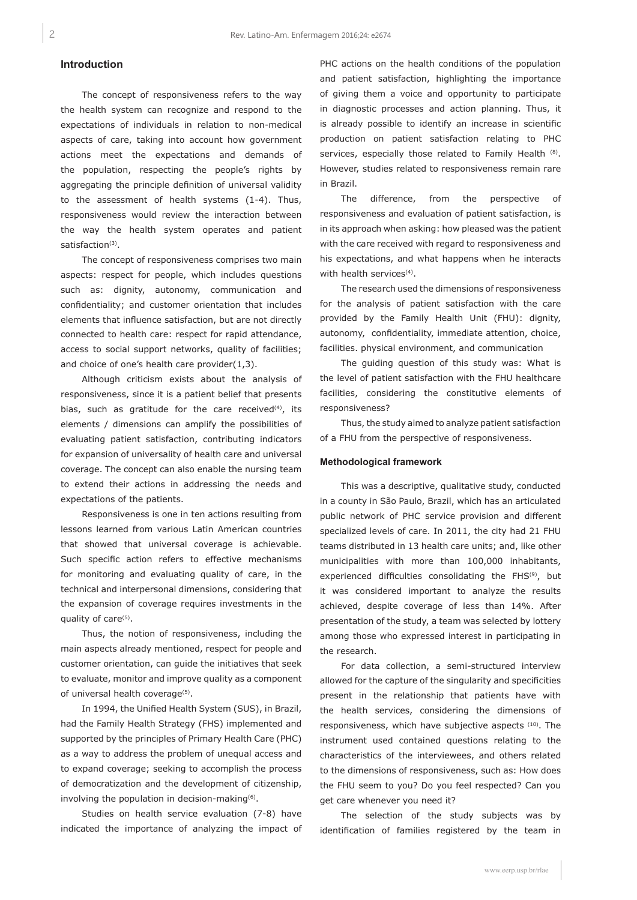# **Introduction**

The concept of responsiveness refers to the way the health system can recognize and respond to the expectations of individuals in relation to non-medical aspects of care, taking into account how government actions meet the expectations and demands of the population, respecting the people's rights by aggregating the principle definition of universal validity to the assessment of health systems (1-4). Thus, responsiveness would review the interaction between the way the health system operates and patient satisfaction<sup>(3)</sup>.

The concept of responsiveness comprises two main aspects: respect for people, which includes questions such as: dignity, autonomy, communication and confidentiality; and customer orientation that includes elements that influence satisfaction, but are not directly connected to health care: respect for rapid attendance, access to social support networks, quality of facilities; and choice of one's health care provider(1,3).

Although criticism exists about the analysis of responsiveness, since it is a patient belief that presents bias, such as gratitude for the care received $(4)$ , its elements / dimensions can amplify the possibilities of evaluating patient satisfaction, contributing indicators for expansion of universality of health care and universal coverage. The concept can also enable the nursing team to extend their actions in addressing the needs and expectations of the patients.

Responsiveness is one in ten actions resulting from lessons learned from various Latin American countries that showed that universal coverage is achievable. Such specific action refers to effective mechanisms for monitoring and evaluating quality of care, in the technical and interpersonal dimensions, considering that the expansion of coverage requires investments in the quality of care<sup>(5)</sup>.

Thus, the notion of responsiveness, including the main aspects already mentioned, respect for people and customer orientation, can guide the initiatives that seek to evaluate, monitor and improve quality as a component of universal health coverage<sup>(5)</sup>.

In 1994, the Unified Health System (SUS), in Brazil, had the Family Health Strategy (FHS) implemented and supported by the principles of Primary Health Care (PHC) as a way to address the problem of unequal access and to expand coverage; seeking to accomplish the process of democratization and the development of citizenship, involving the population in decision-making<sup>(6)</sup>.

Studies on health service evaluation (7-8) have indicated the importance of analyzing the impact of PHC actions on the health conditions of the population and patient satisfaction, highlighting the importance of giving them a voice and opportunity to participate in diagnostic processes and action planning. Thus, it is already possible to identify an increase in scientific production on patient satisfaction relating to PHC services, especially those related to Family Health (8). However, studies related to responsiveness remain rare in Brazil.

The difference, from the perspective of responsiveness and evaluation of patient satisfaction, is in its approach when asking: how pleased was the patient with the care received with regard to responsiveness and his expectations, and what happens when he interacts with health services<sup>(4)</sup>.

The research used the dimensions of responsiveness for the analysis of patient satisfaction with the care provided by the Family Health Unit (FHU): dignity, autonomy, confidentiality, immediate attention, choice, facilities. physical environment, and communication

The guiding question of this study was: What is the level of patient satisfaction with the FHU healthcare facilities, considering the constitutive elements of responsiveness?

Thus, the study aimed to analyze patient satisfaction of a FHU from the perspective of responsiveness.

#### **Methodological framework**

This was a descriptive, qualitative study, conducted in a county in São Paulo, Brazil, which has an articulated public network of PHC service provision and different specialized levels of care. In 2011, the city had 21 FHU teams distributed in 13 health care units; and, like other municipalities with more than 100,000 inhabitants, experienced difficulties consolidating the FHS<sup>(9)</sup>, but it was considered important to analyze the results achieved, despite coverage of less than 14%. After presentation of the study, a team was selected by lottery among those who expressed interest in participating in the research.

For data collection, a semi-structured interview allowed for the capture of the singularity and specificities present in the relationship that patients have with the health services, considering the dimensions of responsiveness, which have subjective aspects (10). The instrument used contained questions relating to the characteristics of the interviewees, and others related to the dimensions of responsiveness, such as: How does the FHU seem to you? Do you feel respected? Can you get care whenever you need it?

The selection of the study subjects was by identification of families registered by the team in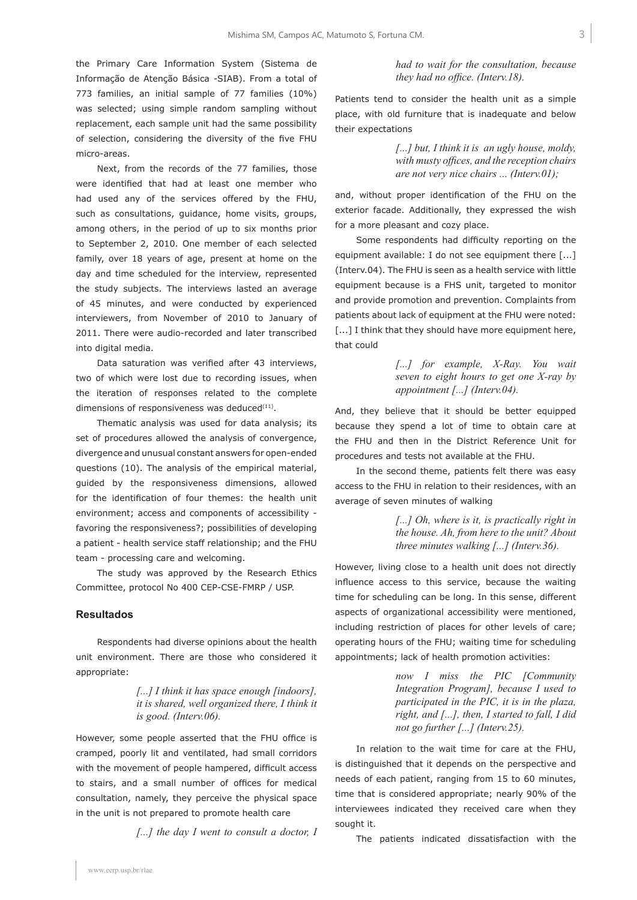the Primary Care Information System (Sistema de Informação de Atenção Básica -SIAB). From a total of 773 families, an initial sample of 77 families (10%) was selected; using simple random sampling without replacement, each sample unit had the same possibility of selection, considering the diversity of the five FHU micro-areas.

Next, from the records of the 77 families, those were identified that had at least one member who had used any of the services offered by the FHU, such as consultations, guidance, home visits, groups, among others, in the period of up to six months prior to September 2, 2010. One member of each selected family, over 18 years of age, present at home on the day and time scheduled for the interview, represented the study subjects. The interviews lasted an average of 45 minutes, and were conducted by experienced interviewers, from November of 2010 to January of 2011. There were audio-recorded and later transcribed into digital media.

Data saturation was verified after 43 interviews, two of which were lost due to recording issues, when the iteration of responses related to the complete dimensions of responsiveness was deduced $(11)$ .

Thematic analysis was used for data analysis; its set of procedures allowed the analysis of convergence, divergence and unusual constant answers for open-ended questions (10). The analysis of the empirical material, guided by the responsiveness dimensions, allowed for the identification of four themes: the health unit environment; access and components of accessibility favoring the responsiveness?; possibilities of developing a patient - health service staff relationship; and the FHU team - processing care and welcoming.

The study was approved by the Research Ethics Committee, protocol No 400 CEP-CSE-FMRP / USP.

#### **Resultados**

Respondents had diverse opinions about the health unit environment. There are those who considered it appropriate:

> *[...] I think it has space enough [indoors], it is shared, well organized there, I think it is good. (Interv.06).*

However, some people asserted that the FHU office is cramped, poorly lit and ventilated, had small corridors with the movement of people hampered, difficult access to stairs, and a small number of offices for medical consultation, namely, they perceive the physical space in the unit is not prepared to promote health care

*[...] the day I went to consult a doctor, I* 

*had to wait for the consultation, because they had no office. (Interv.18).* 

Patients tend to consider the health unit as a simple place, with old furniture that is inadequate and below their expectations

> *[...] but, I think it is an ugly house, moldy,*  with musty offices, and the reception chairs *are not very nice chairs ... (Interv.01);*

and, without proper identification of the FHU on the exterior facade. Additionally, they expressed the wish for a more pleasant and cozy place.

Some respondents had difficulty reporting on the equipment available: I do not see equipment there [...] (Interv.04). The FHU is seen as a health service with little equipment because is a FHS unit, targeted to monitor and provide promotion and prevention. Complaints from patients about lack of equipment at the FHU were noted: [...] I think that they should have more equipment here, that could

> *[...] for example, X-Ray. You wait seven to eight hours to get one X-ray by appointment [...] (Interv.04).*

And, they believe that it should be better equipped because they spend a lot of time to obtain care at the FHU and then in the District Reference Unit for procedures and tests not available at the FHU.

In the second theme, patients felt there was easy access to the FHU in relation to their residences, with an average of seven minutes of walking

> [...] Oh, where is it, is practically right in *the house. Ah, from here to the unit? About three minutes walking [...] (Interv.36).*

However, living close to a health unit does not directly influence access to this service, because the waiting time for scheduling can be long. In this sense, different aspects of organizational accessibility were mentioned, including restriction of places for other levels of care; operating hours of the FHU; waiting time for scheduling appointments; lack of health promotion activities:

> *now I miss the PIC [Community Integration Program], because I used to participated in the PIC, it is in the plaza, right, and [...], then, I started to fall, I did not go further [...] (Interv.25).*

In relation to the wait time for care at the FHU, is distinguished that it depends on the perspective and needs of each patient, ranging from 15 to 60 minutes, time that is considered appropriate; nearly 90% of the interviewees indicated they received care when they sought it.

The patients indicated dissatisfaction with the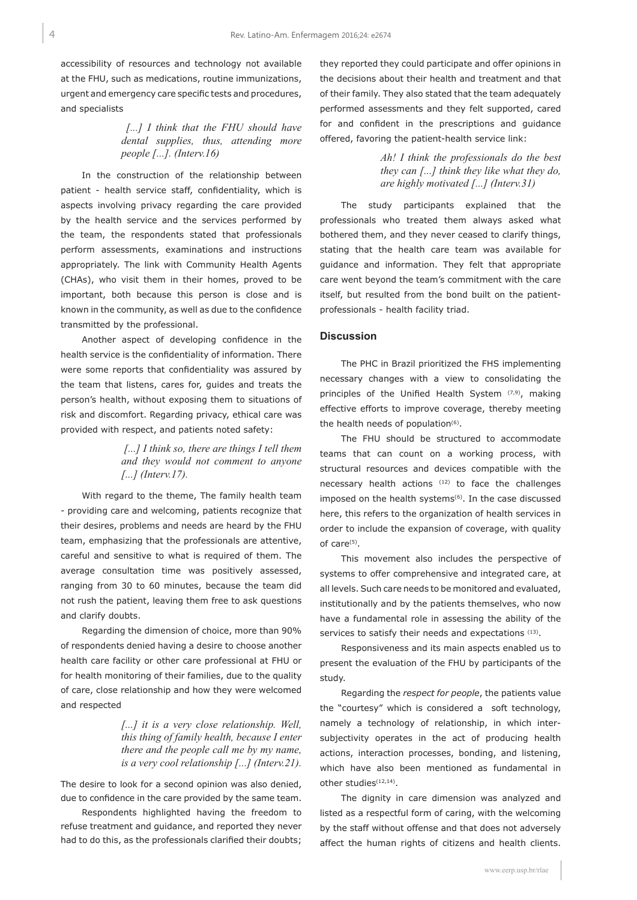accessibility of resources and technology not available at the FHU, such as medications, routine immunizations, urgent and emergency care specific tests and procedures, and specialists

> *[...] I think that the FHU should have dental supplies, thus, attending more people [...]. (Interv.16)*

In the construction of the relationship between patient - health service staff, confidentiality, which is aspects involving privacy regarding the care provided by the health service and the services performed by the team, the respondents stated that professionals perform assessments, examinations and instructions appropriately. The link with Community Health Agents (CHAs), who visit them in their homes, proved to be important, both because this person is close and is known in the community, as well as due to the confidence transmitted by the professional.

Another aspect of developing confidence in the health service is the confidentiality of information. There were some reports that confidentiality was assured by the team that listens, cares for, guides and treats the person's health, without exposing them to situations of risk and discomfort. Regarding privacy, ethical care was provided with respect, and patients noted safety:

> *[...] I think so, there are things I tell them and they would not comment to anyone [...] (Interv.17).*

With regard to the theme, The family health team - providing care and welcoming, patients recognize that their desires, problems and needs are heard by the FHU team, emphasizing that the professionals are attentive, careful and sensitive to what is required of them. The average consultation time was positively assessed, ranging from 30 to 60 minutes, because the team did not rush the patient, leaving them free to ask questions and clarify doubts.

Regarding the dimension of choice, more than 90% of respondents denied having a desire to choose another health care facility or other care professional at FHU or for health monitoring of their families, due to the quality of care, close relationship and how they were welcomed and respected

> *[...] it is a very close relationship. Well, this thing of family health, because I enter there and the people call me by my name, is a very cool relationship [...] (Interv.21).*

The desire to look for a second opinion was also denied, due to confidence in the care provided by the same team.

Respondents highlighted having the freedom to refuse treatment and guidance, and reported they never had to do this, as the professionals clarified their doubts;

they reported they could participate and offer opinions in the decisions about their health and treatment and that of their family. They also stated that the team adequately performed assessments and they felt supported, cared for and confident in the prescriptions and guidance offered, favoring the patient-health service link:

> *Ah! I think the professionals do the best they can [...] think they like what they do, are highly motivated [...] (Interv.31)*

The study participants explained that the professionals who treated them always asked what bothered them, and they never ceased to clarify things, stating that the health care team was available for guidance and information. They felt that appropriate care went beyond the team's commitment with the care itself, but resulted from the bond built on the patientprofessionals - health facility triad.

### **Discussion**

The PHC in Brazil prioritized the FHS implementing necessary changes with a view to consolidating the principles of the Unified Health System  $(7,9)$ , making effective efforts to improve coverage, thereby meeting the health needs of population<sup>(6)</sup>.

The FHU should be structured to accommodate teams that can count on a working process, with structural resources and devices compatible with the necessary health actions (12) to face the challenges imposed on the health systems $(6)$ . In the case discussed here, this refers to the organization of health services in order to include the expansion of coverage, with quality of care<sup>(5)</sup>.

This movement also includes the perspective of systems to offer comprehensive and integrated care, at all levels. Such care needs to be monitored and evaluated, institutionally and by the patients themselves, who now have a fundamental role in assessing the ability of the services to satisfy their needs and expectations  $(13)$ .

Responsiveness and its main aspects enabled us to present the evaluation of the FHU by participants of the study.

Regarding the *respect for people*, the patients value the "courtesy" which is considered a soft technology, namely a technology of relationship, in which intersubjectivity operates in the act of producing health actions, interaction processes, bonding, and listening, which have also been mentioned as fundamental in other studies<sup>(12,14)</sup>.

The dignity in care dimension was analyzed and listed as a respectful form of caring, with the welcoming by the staff without offense and that does not adversely affect the human rights of citizens and health clients.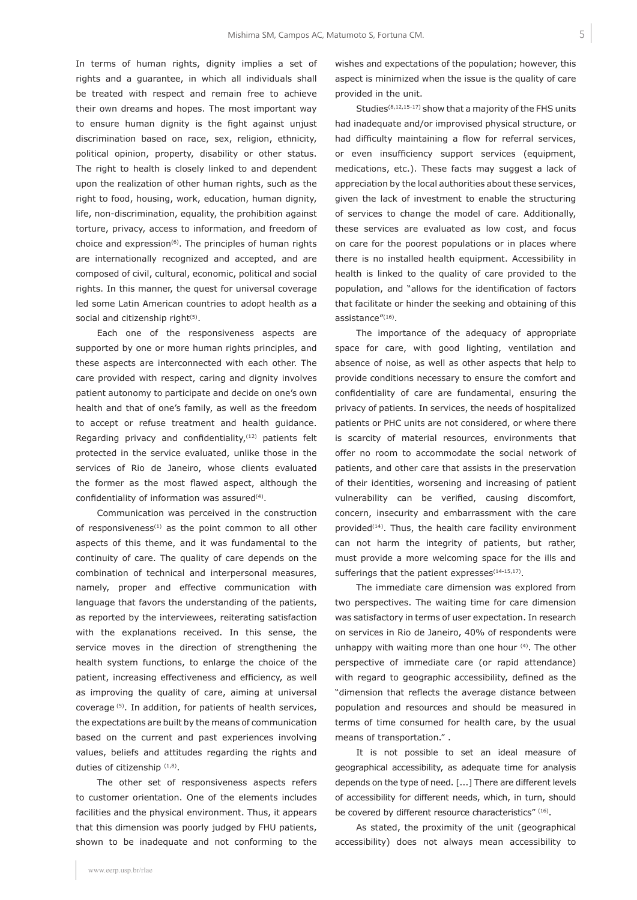In terms of human rights, dignity implies a set of rights and a guarantee, in which all individuals shall be treated with respect and remain free to achieve their own dreams and hopes. The most important way to ensure human dignity is the fight against unjust discrimination based on race, sex, religion, ethnicity, political opinion, property, disability or other status. The right to health is closely linked to and dependent upon the realization of other human rights, such as the right to food, housing, work, education, human dignity, life, non-discrimination, equality, the prohibition against torture, privacy, access to information, and freedom of choice and expression $(6)$ . The principles of human rights are internationally recognized and accepted, and are composed of civil, cultural, economic, political and social rights. In this manner, the quest for universal coverage led some Latin American countries to adopt health as a social and citizenship right<sup>(5)</sup>.

Each one of the responsiveness aspects are supported by one or more human rights principles, and these aspects are interconnected with each other. The care provided with respect, caring and dignity involves patient autonomy to participate and decide on one's own health and that of one's family, as well as the freedom to accept or refuse treatment and health guidance. Regarding privacy and confidentiality, $(12)$  patients felt protected in the service evaluated, unlike those in the services of Rio de Janeiro, whose clients evaluated the former as the most flawed aspect, although the confidentiality of information was assured $(4)$ .

Communication was perceived in the construction of responsiveness $(1)$  as the point common to all other aspects of this theme, and it was fundamental to the continuity of care. The quality of care depends on the combination of technical and interpersonal measures, namely, proper and effective communication with language that favors the understanding of the patients, as reported by the interviewees, reiterating satisfaction with the explanations received. In this sense, the service moves in the direction of strengthening the health system functions, to enlarge the choice of the patient, increasing effectiveness and efficiency, as well as improving the quality of care, aiming at universal coverage (5). In addition, for patients of health services, the expectations are built by the means of communication based on the current and past experiences involving values, beliefs and attitudes regarding the rights and duties of citizenship (1,8).

The other set of responsiveness aspects refers to customer orientation. One of the elements includes facilities and the physical environment. Thus, it appears that this dimension was poorly judged by FHU patients, shown to be inadequate and not conforming to the wishes and expectations of the population; however, this aspect is minimized when the issue is the quality of care provided in the unit.

Studies(8,12,15-17) show that a majority of the FHS units had inadequate and/or improvised physical structure, or had difficulty maintaining a flow for referral services, or even insufficiency support services (equipment, medications, etc.). These facts may suggest a lack of appreciation by the local authorities about these services, given the lack of investment to enable the structuring of services to change the model of care. Additionally, these services are evaluated as low cost, and focus on care for the poorest populations or in places where there is no installed health equipment. Accessibility in health is linked to the quality of care provided to the population, and "allows for the identification of factors that facilitate or hinder the seeking and obtaining of this assistance"(16).

The importance of the adequacy of appropriate space for care, with good lighting, ventilation and absence of noise, as well as other aspects that help to provide conditions necessary to ensure the comfort and confidentiality of care are fundamental, ensuring the privacy of patients. In services, the needs of hospitalized patients or PHC units are not considered, or where there is scarcity of material resources, environments that offer no room to accommodate the social network of patients, and other care that assists in the preservation of their identities, worsening and increasing of patient vulnerability can be verified, causing discomfort, concern, insecurity and embarrassment with the care provided<sup> $(14)$ </sup>. Thus, the health care facility environment can not harm the integrity of patients, but rather, must provide a more welcoming space for the ills and sufferings that the patient expresses $(14-15,17)$ .

The immediate care dimension was explored from two perspectives. The waiting time for care dimension was satisfactory in terms of user expectation. In research on services in Rio de Janeiro, 40% of respondents were unhappy with waiting more than one hour <sup>(4)</sup>. The other perspective of immediate care (or rapid attendance) with regard to geographic accessibility, defined as the "dimension that reflects the average distance between population and resources and should be measured in terms of time consumed for health care, by the usual means of transportation." .

It is not possible to set an ideal measure of geographical accessibility, as adequate time for analysis depends on the type of need. [...] There are different levels of accessibility for different needs, which, in turn, should be covered by different resource characteristics" (16).

As stated, the proximity of the unit (geographical accessibility) does not always mean accessibility to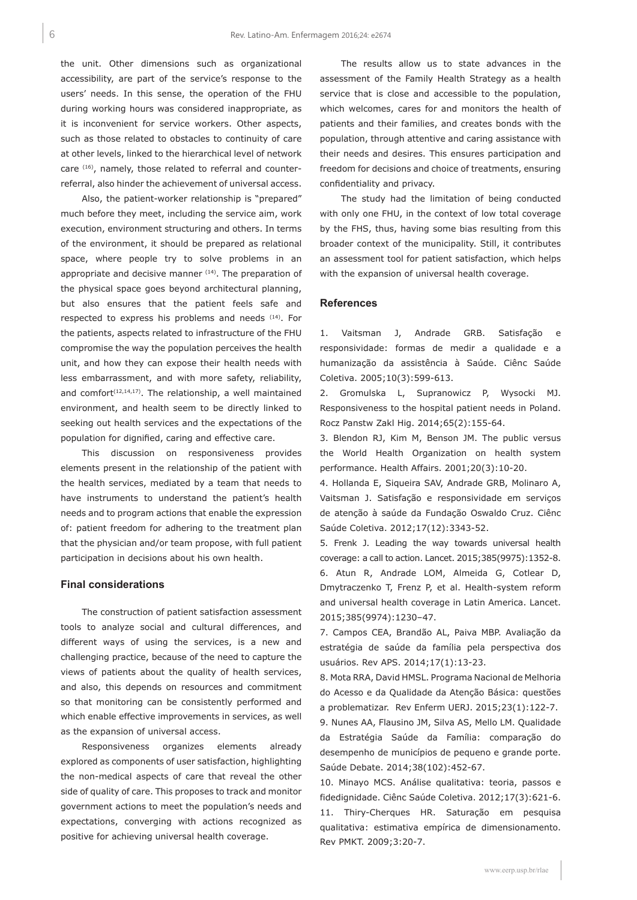the unit. Other dimensions such as organizational accessibility, are part of the service's response to the users' needs. In this sense, the operation of the FHU during working hours was considered inappropriate, as it is inconvenient for service workers. Other aspects, such as those related to obstacles to continuity of care at other levels, linked to the hierarchical level of network care (16), namely, those related to referral and counterreferral, also hinder the achievement of universal access.

Also, the patient-worker relationship is "prepared" much before they meet, including the service aim, work execution, environment structuring and others. In terms of the environment, it should be prepared as relational space, where people try to solve problems in an appropriate and decisive manner (14). The preparation of the physical space goes beyond architectural planning, but also ensures that the patient feels safe and respected to express his problems and needs <sup>(14)</sup>. For the patients, aspects related to infrastructure of the FHU compromise the way the population perceives the health unit, and how they can expose their health needs with less embarrassment, and with more safety, reliability, and comfort<sup> $(12,14,17)$ </sup>. The relationship, a well maintained environment, and health seem to be directly linked to seeking out health services and the expectations of the population for dignified, caring and effective care.

This discussion on responsiveness provides elements present in the relationship of the patient with the health services, mediated by a team that needs to have instruments to understand the patient's health needs and to program actions that enable the expression of: patient freedom for adhering to the treatment plan that the physician and/or team propose, with full patient participation in decisions about his own health.

#### **Final considerations**

The construction of patient satisfaction assessment tools to analyze social and cultural differences, and different ways of using the services, is a new and challenging practice, because of the need to capture the views of patients about the quality of health services, and also, this depends on resources and commitment so that monitoring can be consistently performed and which enable effective improvements in services, as well as the expansion of universal access.

Responsiveness organizes elements already explored as components of user satisfaction, highlighting the non-medical aspects of care that reveal the other side of quality of care. This proposes to track and monitor government actions to meet the population's needs and expectations, converging with actions recognized as positive for achieving universal health coverage.

The results allow us to state advances in the assessment of the Family Health Strategy as a health service that is close and accessible to the population, which welcomes, cares for and monitors the health of patients and their families, and creates bonds with the population, through attentive and caring assistance with their needs and desires. This ensures participation and freedom for decisions and choice of treatments, ensuring confidentiality and privacy.

The study had the limitation of being conducted with only one FHU, in the context of low total coverage by the FHS, thus, having some bias resulting from this broader context of the municipality. Still, it contributes an assessment tool for patient satisfaction, which helps with the expansion of universal health coverage.

## **References**

1. Vaitsman J, Andrade GRB. Satisfação e responsividade: formas de medir a qualidade e a humanização da assistência à Saúde. Ciênc Saúde Coletiva. 2005;10(3):599-613.

2. Gromulska L, Supranowicz P, Wysocki MJ. Responsiveness to the hospital patient needs in Poland. Rocz Panstw Zakl Hig. 2014;65(2):155-64.

3. Blendon RJ, Kim M, Benson JM. The public versus the World Health Organization on health system performance. Health Affairs. 2001;20(3):10-20.

4. Hollanda E, Siqueira SAV, Andrade GRB, Molinaro A, Vaitsman J. Satisfação e responsividade em serviços de atenção à saúde da Fundação Oswaldo Cruz. Ciênc Saúde Coletiva. 2012;17(12):3343-52.

5. Frenk J. Leading the way towards universal health coverage: a call to action. Lancet. 2015;385(9975):1352-8. 6. Atun R, Andrade LOM, Almeida G, Cotlear D, Dmytraczenko T, Frenz P, et al. Health-system reform and universal health coverage in Latin America. Lancet. 2015;385(9974):1230–47.

7. Campos CEA, Brandão AL, Paiva MBP. Avaliação da estratégia de saúde da família pela perspectiva dos usuários. Rev APS. 2014;17(1):13-23.

8. Mota RRA, David HMSL. Programa Nacional de Melhoria do Acesso e da Qualidade da Atenção Básica: questões a problematizar. Rev Enferm UERJ. 2015;23(1):122-7.

9. Nunes AA, Flausino JM, Silva AS, Mello LM. Qualidade da Estratégia Saúde da Família: comparação do desempenho de municípios de pequeno e grande porte. Saúde Debate. 2014;38(102):452-67.

10. Minayo MCS. Análise qualitativa: teoria, passos e fidedignidade. Ciênc Saúde Coletiva. 2012;17(3):621-6. 11. Thiry-Cherques HR. Saturação em pesquisa qualitativa: estimativa empírica de dimensionamento. Rev PMKT. 2009;3:20-7.